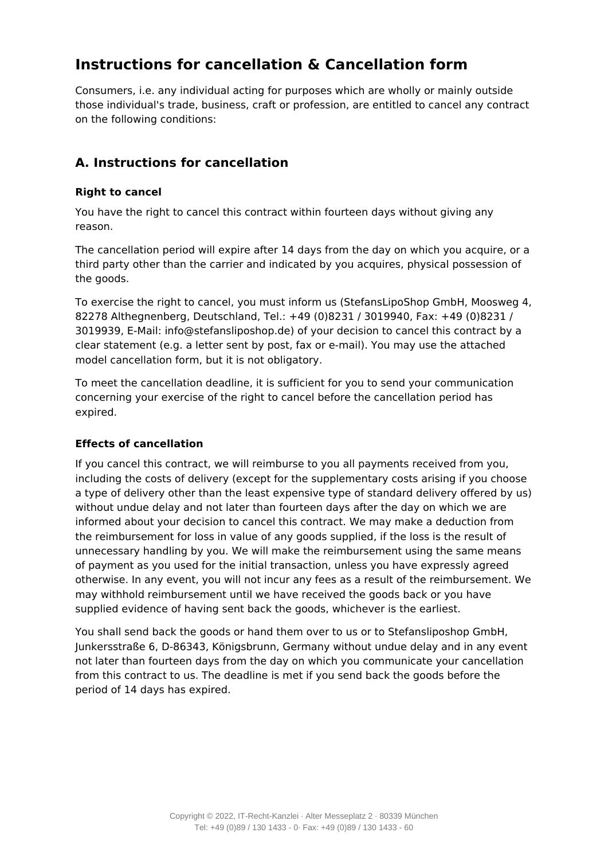# **Instructions for cancellation & Cancellation form**

Consumers, i.e. any individual acting for purposes which are wholly or mainly outside those individual's trade, business, craft or profession, are entitled to cancel any contract on the following conditions:

### **A. Instructions for cancellation**

### **Right to cancel**

You have the right to cancel this contract within fourteen days without giving any reason.

The cancellation period will expire after 14 days from the day on which you acquire, or a third party other than the carrier and indicated by you acquires, physical possession of the goods.

To exercise the right to cancel, you must inform us (StefansLipoShop GmbH, Moosweg 4, 82278 Althegnenberg, Deutschland, Tel.: +49 (0)8231 / 3019940, Fax: +49 (0)8231 / 3019939, E-Mail: info@stefansliposhop.de) of your decision to cancel this contract by a clear statement (e.g. a letter sent by post, fax or e-mail). You may use the attached model cancellation form, but it is not obligatory.

To meet the cancellation deadline, it is sufficient for you to send your communication concerning your exercise of the right to cancel before the cancellation period has expired.

#### **Effects of cancellation**

If you cancel this contract, we will reimburse to you all payments received from you, including the costs of delivery (except for the supplementary costs arising if you choose a type of delivery other than the least expensive type of standard delivery offered by us) without undue delay and not later than fourteen days after the day on which we are informed about your decision to cancel this contract. We may make a deduction from the reimbursement for loss in value of any goods supplied, if the loss is the result of unnecessary handling by you. We will make the reimbursement using the same means of payment as you used for the initial transaction, unless you have expressly agreed otherwise. In any event, you will not incur any fees as a result of the reimbursement. We may withhold reimbursement until we have received the goods back or you have supplied evidence of having sent back the goods, whichever is the earliest.

You shall send back the goods or hand them over to us or to Stefansliposhop GmbH, Junkersstraße 6, D-86343, Königsbrunn, Germany without undue delay and in any event not later than fourteen days from the day on which you communicate your cancellation from this contract to us. The deadline is met if you send back the goods before the period of 14 days has expired.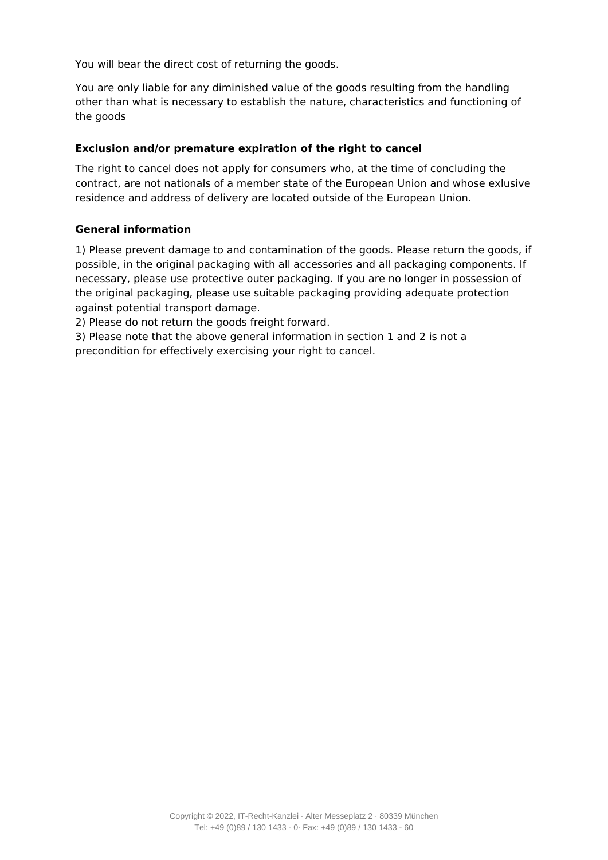You will bear the direct cost of returning the goods.

You are only liable for any diminished value of the goods resulting from the handling other than what is necessary to establish the nature, characteristics and functioning of the goods

#### **Exclusion and/or premature expiration of the right to cancel**

The right to cancel does not apply for consumers who, at the time of concluding the contract, are not nationals of a member state of the European Union and whose exlusive residence and address of delivery are located outside of the European Union.

#### **General information**

1) Please prevent damage to and contamination of the goods. Please return the goods, if possible, in the original packaging with all accessories and all packaging components. If necessary, please use protective outer packaging. If you are no longer in possession of the original packaging, please use suitable packaging providing adequate protection against potential transport damage.

2) Please do not return the goods freight forward.

3) Please note that the above general information in section 1 and 2 is not a precondition for effectively exercising your right to cancel.